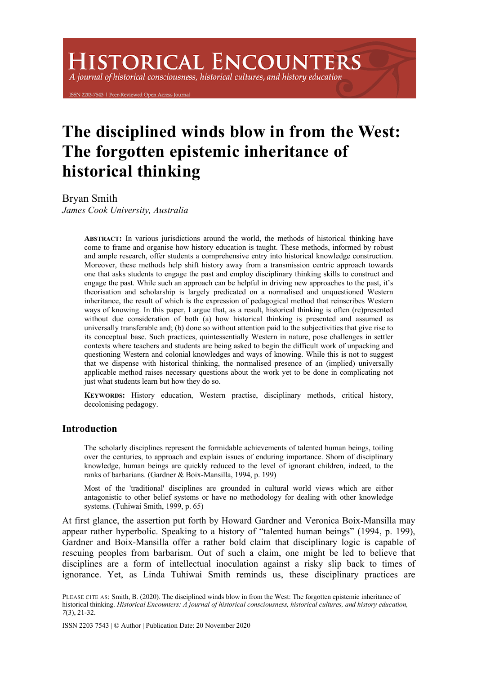# **HISTORICAL ENCOUNTERS**

A journal of historical consciousness, historical cultures, and history education

203-7543 | Peer-Reviewed Open Access Journ

## **The disciplined winds blow in from the West: The forgotten epistemic inheritance of historical thinking**

Bryan Smith

*James Cook University, Australia*

**ABSTRACT:** In various jurisdictions around the world, the methods of historical thinking have come to frame and organise how history education is taught. These methods, informed by robust and ample research, offer students a comprehensive entry into historical knowledge construction. Moreover, these methods help shift history away from a transmission centric approach towards one that asks students to engage the past and employ disciplinary thinking skills to construct and engage the past. While such an approach can be helpful in driving new approaches to the past, it's theorisation and scholarship is largely predicated on a normalised and unquestioned Western inheritance, the result of which is the expression of pedagogical method that reinscribes Western ways of knowing. In this paper, I argue that, as a result, historical thinking is often (re)presented without due consideration of both (a) how historical thinking is presented and assumed as universally transferable and; (b) done so without attention paid to the subjectivities that give rise to its conceptual base. Such practices, quintessentially Western in nature, pose challenges in settler contexts where teachers and students are being asked to begin the difficult work of unpacking and questioning Western and colonial knowledges and ways of knowing. While this is not to suggest that we dispense with historical thinking, the normalised presence of an (implied) universally applicable method raises necessary questions about the work yet to be done in complicating not just what students learn but how they do so.

**KEYWORDS:** History education, Western practise, disciplinary methods, critical history, decolonising pedagogy.

#### **Introduction**

The scholarly disciplines represent the formidable achievements of talented human beings, toiling over the centuries, to approach and explain issues of enduring importance. Shorn of disciplinary knowledge, human beings are quickly reduced to the level of ignorant children, indeed, to the ranks of barbarians. (Gardner & Boix-Mansilla, 1994, p. 199)

Most of the 'traditional' disciplines are grounded in cultural world views which are either antagonistic to other belief systems or have no methodology for dealing with other knowledge systems. (Tuhiwai Smith, 1999, p. 65)

At first glance, the assertion put forth by Howard Gardner and Veronica Boix-Mansilla may appear rather hyperbolic. Speaking to a history of "talented human beings" (1994, p. 199), Gardner and Boix-Mansilla offer a rather bold claim that disciplinary logic is capable of rescuing peoples from barbarism. Out of such a claim, one might be led to believe that disciplines are a form of intellectual inoculation against a risky slip back to times of ignorance. Yet, as Linda Tuhiwai Smith reminds us, these disciplinary practices are

PLEASE CITE AS: Smith, B. (2020). The disciplined winds blow in from the West: The forgotten epistemic inheritance of historical thinking. *Historical Encounters: A journal of historical consciousness, historical cultures, and history education, 7*(3), 21-32.

ISSN 2203 7543 | © Author | Publication Date: 20 November 2020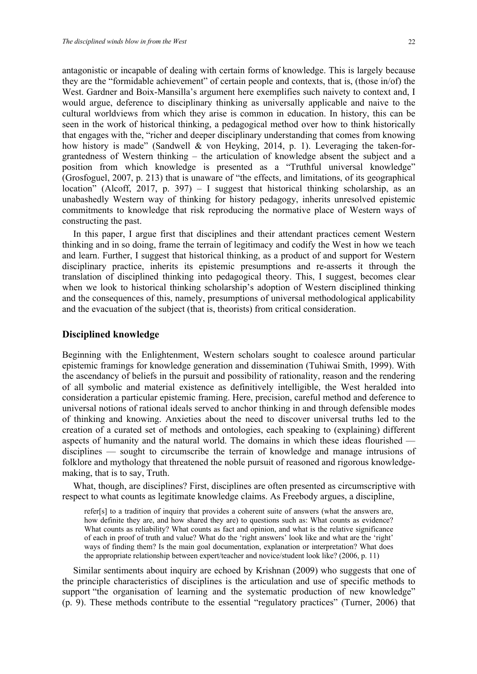antagonistic or incapable of dealing with certain forms of knowledge. This is largely because they are the "formidable achievement" of certain people and contexts, that is, (those in/of) the West. Gardner and Boix-Mansilla's argument here exemplifies such naivety to context and, I would argue, deference to disciplinary thinking as universally applicable and naive to the cultural worldviews from which they arise is common in education. In history, this can be seen in the work of historical thinking, a pedagogical method over how to think historically that engages with the, "richer and deeper disciplinary understanding that comes from knowing how history is made" (Sandwell & von Heyking, 2014, p. 1). Leveraging the taken-forgrantedness of Western thinking – the articulation of knowledge absent the subject and a position from which knowledge is presented as a "Truthful universal knowledge" (Grosfoguel, 2007, p. 213) that is unaware of "the effects, and limitations, of its geographical location" (Alcoff, 2017, p. 397) – I suggest that historical thinking scholarship, as an unabashedly Western way of thinking for history pedagogy, inherits unresolved epistemic commitments to knowledge that risk reproducing the normative place of Western ways of constructing the past.

In this paper, I argue first that disciplines and their attendant practices cement Western thinking and in so doing, frame the terrain of legitimacy and codify the West in how we teach and learn. Further, I suggest that historical thinking, as a product of and support for Western disciplinary practice, inherits its epistemic presumptions and re-asserts it through the translation of disciplined thinking into pedagogical theory. This, I suggest, becomes clear when we look to historical thinking scholarship's adoption of Western disciplined thinking and the consequences of this, namely, presumptions of universal methodological applicability and the evacuation of the subject (that is, theorists) from critical consideration.

#### **Disciplined knowledge**

Beginning with the Enlightenment, Western scholars sought to coalesce around particular epistemic framings for knowledge generation and dissemination (Tuhiwai Smith, 1999). With the ascendancy of beliefs in the pursuit and possibility of rationality, reason and the rendering of all symbolic and material existence as definitively intelligible, the West heralded into consideration a particular epistemic framing. Here, precision, careful method and deference to universal notions of rational ideals served to anchor thinking in and through defensible modes of thinking and knowing. Anxieties about the need to discover universal truths led to the creation of a curated set of methods and ontologies, each speaking to (explaining) different aspects of humanity and the natural world. The domains in which these ideas flourished disciplines — sought to circumscribe the terrain of knowledge and manage intrusions of folklore and mythology that threatened the noble pursuit of reasoned and rigorous knowledgemaking, that is to say, Truth.

What, though, are disciplines? First, disciplines are often presented as circumscriptive with respect to what counts as legitimate knowledge claims. As Freebody argues, a discipline,

refer[s] to a tradition of inquiry that provides a coherent suite of answers (what the answers are, how definite they are, and how shared they are) to questions such as: What counts as evidence? What counts as reliability? What counts as fact and opinion, and what is the relative significance of each in proof of truth and value? What do the 'right answers' look like and what are the 'right' ways of finding them? Is the main goal documentation, explanation or interpretation? What does the appropriate relationship between expert/teacher and novice/student look like? (2006, p. 11)

Similar sentiments about inquiry are echoed by Krishnan (2009) who suggests that one of the principle characteristics of disciplines is the articulation and use of specific methods to support "the organisation of learning and the systematic production of new knowledge" (p. 9). These methods contribute to the essential "regulatory practices" (Turner, 2006) that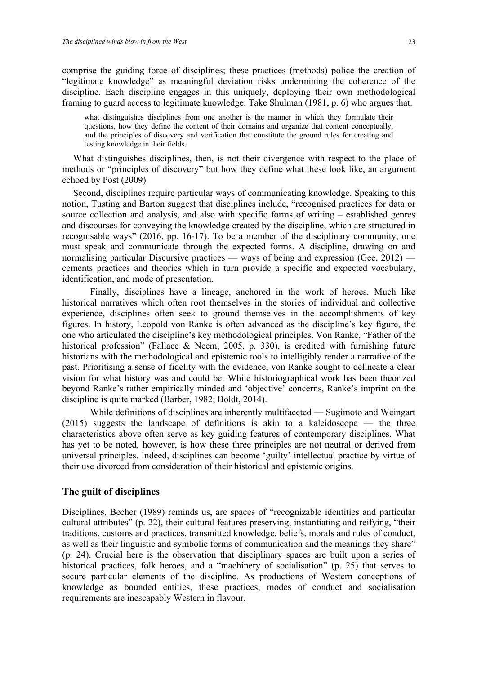comprise the guiding force of disciplines; these practices (methods) police the creation of "legitimate knowledge" as meaningful deviation risks undermining the coherence of the discipline. Each discipline engages in this uniquely, deploying their own methodological framing to guard access to legitimate knowledge. Take Shulman (1981, p. 6) who argues that.

what distinguishes disciplines from one another is the manner in which they formulate their questions, how they define the content of their domains and organize that content conceptually, and the principles of discovery and verification that constitute the ground rules for creating and testing knowledge in their fields.

What distinguishes disciplines, then, is not their divergence with respect to the place of methods or "principles of discovery" but how they define what these look like, an argument echoed by Post (2009).

Second, disciplines require particular ways of communicating knowledge. Speaking to this notion, Tusting and Barton suggest that disciplines include, "recognised practices for data or source collection and analysis, and also with specific forms of writing – established genres and discourses for conveying the knowledge created by the discipline, which are structured in recognisable ways" (2016, pp. 16-17). To be a member of the disciplinary community, one must speak and communicate through the expected forms. A discipline, drawing on and normalising particular Discursive practices — ways of being and expression (Gee, 2012) cements practices and theories which in turn provide a specific and expected vocabulary, identification, and mode of presentation.

Finally, disciplines have a lineage, anchored in the work of heroes. Much like historical narratives which often root themselves in the stories of individual and collective experience, disciplines often seek to ground themselves in the accomplishments of key figures. In history, Leopold von Ranke is often advanced as the discipline's key figure, the one who articulated the discipline's key methodological principles. Von Ranke, "Father of the historical profession" (Fallace & Neem, 2005, p. 330), is credited with furnishing future historians with the methodological and epistemic tools to intelligibly render a narrative of the past. Prioritising a sense of fidelity with the evidence, von Ranke sought to delineate a clear vision for what history was and could be. While historiographical work has been theorized beyond Ranke's rather empirically minded and 'objective' concerns, Ranke's imprint on the discipline is quite marked (Barber, 1982; Boldt, 2014).

While definitions of disciplines are inherently multifaceted — Sugimoto and Weingart (2015) suggests the landscape of definitions is akin to a kaleidoscope — the three characteristics above often serve as key guiding features of contemporary disciplines. What has yet to be noted, however, is how these three principles are not neutral or derived from universal principles. Indeed, disciplines can become 'guilty' intellectual practice by virtue of their use divorced from consideration of their historical and epistemic origins.

#### **The guilt of disciplines**

Disciplines, Becher (1989) reminds us, are spaces of "recognizable identities and particular cultural attributes" (p. 22), their cultural features preserving, instantiating and reifying, "their traditions, customs and practices, transmitted knowledge, beliefs, morals and rules of conduct, as well as their linguistic and symbolic forms of communication and the meanings they share" (p. 24). Crucial here is the observation that disciplinary spaces are built upon a series of historical practices, folk heroes, and a "machinery of socialisation" (p. 25) that serves to secure particular elements of the discipline. As productions of Western conceptions of knowledge as bounded entities, these practices, modes of conduct and socialisation requirements are inescapably Western in flavour.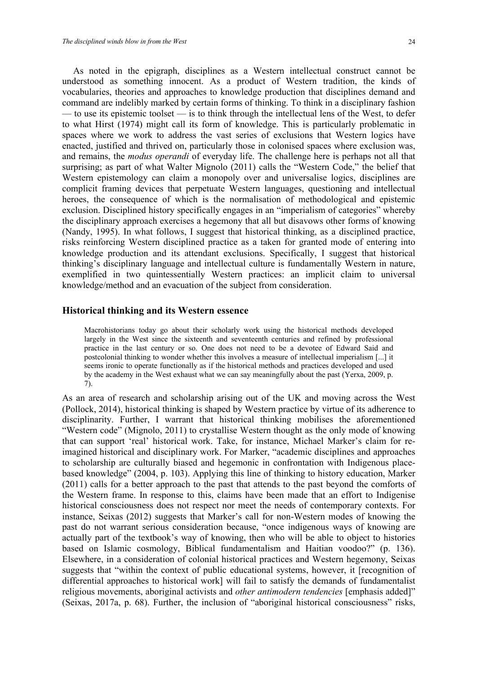As noted in the epigraph, disciplines as a Western intellectual construct cannot be understood as something innocent. As a product of Western tradition, the kinds of vocabularies, theories and approaches to knowledge production that disciplines demand and command are indelibly marked by certain forms of thinking. To think in a disciplinary fashion — to use its epistemic toolset — is to think through the intellectual lens of the West, to defer to what Hirst (1974) might call its form of knowledge. This is particularly problematic in spaces where we work to address the vast series of exclusions that Western logics have enacted, justified and thrived on, particularly those in colonised spaces where exclusion was, and remains, the *modus operandi* of everyday life. The challenge here is perhaps not all that surprising; as part of what Walter Mignolo (2011) calls the "Western Code," the belief that Western epistemology can claim a monopoly over and universalise logics, disciplines are complicit framing devices that perpetuate Western languages, questioning and intellectual heroes, the consequence of which is the normalisation of methodological and epistemic exclusion. Disciplined history specifically engages in an "imperialism of categories" whereby the disciplinary approach exercises a hegemony that all but disavows other forms of knowing (Nandy, 1995). In what follows, I suggest that historical thinking, as a disciplined practice, risks reinforcing Western disciplined practice as a taken for granted mode of entering into knowledge production and its attendant exclusions. Specifically, I suggest that historical thinking's disciplinary language and intellectual culture is fundamentally Western in nature, exemplified in two quintessentially Western practices: an implicit claim to universal knowledge/method and an evacuation of the subject from consideration.

#### **Historical thinking and its Western essence**

Macrohistorians today go about their scholarly work using the historical methods developed largely in the West since the sixteenth and seventeenth centuries and refined by professional practice in the last century or so. One does not need to be a devotee of Edward Said and postcolonial thinking to wonder whether this involves a measure of intellectual imperialism [...] it seems ironic to operate functionally as if the historical methods and practices developed and used by the academy in the West exhaust what we can say meaningfully about the past (Yerxa, 2009, p. 7).

As an area of research and scholarship arising out of the UK and moving across the West (Pollock, 2014), historical thinking is shaped by Western practice by virtue of its adherence to disciplinarity. Further, I warrant that historical thinking mobilises the aforementioned "Western code" (Mignolo, 2011) to crystallise Western thought as the only mode of knowing that can support 'real' historical work. Take, for instance, Michael Marker's claim for reimagined historical and disciplinary work. For Marker, "academic disciplines and approaches to scholarship are culturally biased and hegemonic in confrontation with Indigenous placebased knowledge" (2004, p. 103). Applying this line of thinking to history education, Marker (2011) calls for a better approach to the past that attends to the past beyond the comforts of the Western frame. In response to this, claims have been made that an effort to Indigenise historical consciousness does not respect nor meet the needs of contemporary contexts. For instance, Seixas (2012) suggests that Marker's call for non-Western modes of knowing the past do not warrant serious consideration because, "once indigenous ways of knowing are actually part of the textbook's way of knowing, then who will be able to object to histories based on Islamic cosmology, Biblical fundamentalism and Haitian voodoo?" (p. 136). Elsewhere, in a consideration of colonial historical practices and Western hegemony, Seixas suggests that "within the context of public educational systems, however, it [recognition of differential approaches to historical work] will fail to satisfy the demands of fundamentalist religious movements, aboriginal activists and *other antimodern tendencies* [emphasis added]" (Seixas, 2017a, p. 68). Further, the inclusion of "aboriginal historical consciousness" risks,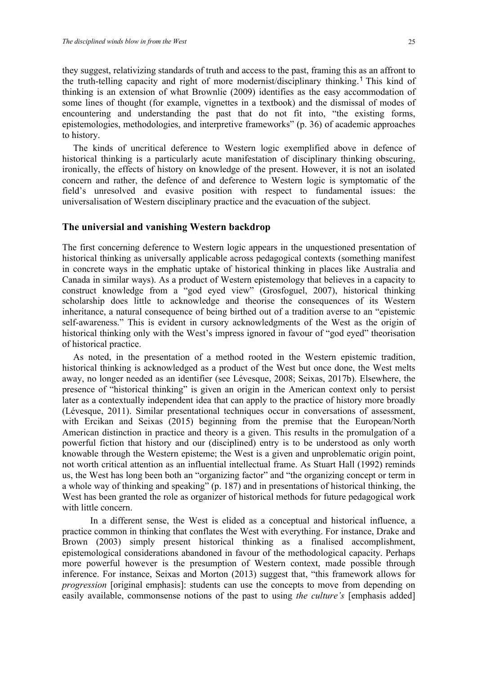they suggest, relativizing standards of truth and access to the past, framing this as an affront to the truth-telling capacity and right of more modernist/disciplinary thinking. <sup>1</sup> This kind of thinking is an extension of what Brownlie (2009) identifies as the easy accommodation of some lines of thought (for example, vignettes in a textbook) and the dismissal of modes of encountering and understanding the past that do not fit into, "the existing forms, epistemologies, methodologies, and interpretive frameworks" (p. 36) of academic approaches to history.

The kinds of uncritical deference to Western logic exemplified above in defence of historical thinking is a particularly acute manifestation of disciplinary thinking obscuring, ironically, the effects of history on knowledge of the present. However, it is not an isolated concern and rather, the defence of and deference to Western logic is symptomatic of the field's unresolved and evasive position with respect to fundamental issues: the universalisation of Western disciplinary practice and the evacuation of the subject.

#### **The universial and vanishing Western backdrop**

The first concerning deference to Western logic appears in the unquestioned presentation of historical thinking as universally applicable across pedagogical contexts (something manifest in concrete ways in the emphatic uptake of historical thinking in places like Australia and Canada in similar ways). As a product of Western epistemology that believes in a capacity to construct knowledge from a "god eyed view" (Grosfoguel, 2007), historical thinking scholarship does little to acknowledge and theorise the consequences of its Western inheritance, a natural consequence of being birthed out of a tradition averse to an "epistemic self-awareness." This is evident in cursory acknowledgments of the West as the origin of historical thinking only with the West's impress ignored in favour of "god eyed" theorisation of historical practice.

As noted, in the presentation of a method rooted in the Western epistemic tradition, historical thinking is acknowledged as a product of the West but once done, the West melts away, no longer needed as an identifier (see Lévesque, 2008; Seixas, 2017b). Elsewhere, the presence of "historical thinking" is given an origin in the American context only to persist later as a contextually independent idea that can apply to the practice of history more broadly (Lévesque, 2011). Similar presentational techniques occur in conversations of assessment, with Ercikan and Seixas (2015) beginning from the premise that the European/North American distinction in practice and theory is a given. This results in the promulgation of a powerful fiction that history and our (disciplined) entry is to be understood as only worth knowable through the Western episteme; the West is a given and unproblematic origin point, not worth critical attention as an influential intellectual frame. As Stuart Hall (1992) reminds us, the West has long been both an "organizing factor" and "the organizing concept or term in a whole way of thinking and speaking" (p. 187) and in presentations of historical thinking, the West has been granted the role as organizer of historical methods for future pedagogical work with little concern.

In a different sense, the West is elided as a conceptual and historical influence, a practice common in thinking that conflates the West with everything. For instance, Drake and Brown (2003) simply present historical thinking as a finalised accomplishment, epistemological considerations abandoned in favour of the methodological capacity. Perhaps more powerful however is the presumption of Western context, made possible through inference. For instance, Seixas and Morton (2013) suggest that, "this framework allows for *progression* [original emphasis]: students can use the concepts to move from depending on easily available, commonsense notions of the past to using *the culture's* [emphasis added]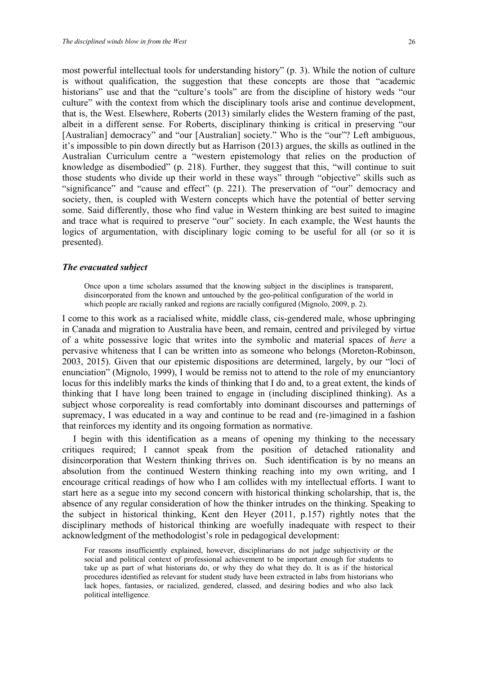most powerful intellectual tools for understanding history" (p. 3). While the notion of culture is without qualification, the suggestion that these concepts are those that "academic historians" use and that the "culture's tools" are from the discipline of history weds "our culture" with the context from which the disciplinary tools arise and continue development, that is, the West. Elsewhere, Roberts (2013) similarly elides the Western framing of the past, albeit in a different sense. For Roberts, disciplinary thinking is critical in preserving "our [Australian] democracy" and "our [Australian] society." Who is the "our"? Left ambiguous, it's impossible to pin down directly but as Harrison (2013) argues, the skills as outlined in the Australian Curriculum centre a "western epistemology that relies on the production of knowledge as disembodied" (p. 218). Further, they suggest that this, "will continue to suit those students who divide up their world in these ways" through "objective" skills such as "significance" and "cause and effect" (p. 221). The preservation of "our" democracy and society, then, is coupled with Western concepts which have the potential of better serving some. Said differently, those who find value in Western thinking are best suited to imagine and trace what is required to preserve "our" society. In each example, the West haunts the logics of argumentation, with disciplinary logic coming to be useful for all (or so it is presented).

#### *The evacuated subject*

Once upon a time scholars assumed that the knowing subject in the disciplines is transparent, disincorporated from the known and untouched by the geo-political configuration of the world in which people are racially ranked and regions are racially configured (Mignolo, 2009, p. 2).

I come to this work as a racialised white, middle class, cis-gendered male, whose upbringing in Canada and migration to Australia have been, and remain, centred and privileged by virtue of a white possessive logic that writes into the symbolic and material spaces of *here* a pervasive whiteness that I can be written into as someone who belongs (Moreton-Robinson, 2003, 2015). Given that our epistemic dispositions are determined, largely, by our "loci of enunciation" (Mignolo, 1999), I would be remiss not to attend to the role of my enunciantory locus for this indelibly marks the kinds of thinking that I do and, to a great extent, the kinds of thinking that I have long been trained to engage in (including disciplined thinking). As a subject whose corporeality is read comfortably into dominant discourses and patternings of supremacy, I was educated in a way and continue to be read and (re-)imagined in a fashion that reinforces my identity and its ongoing formation as normative.

I begin with this identification as a means of opening my thinking to the necessary critiques required; I cannot speak from the position of detached rationality and disincorporation that Western thinking thrives on. Such identification is by no means an absolution from the continued Western thinking reaching into my own writing, and I encourage critical readings of how who I am collides with my intellectual efforts. I want to start here as a segue into my second concern with historical thinking scholarship, that is, the absence of any regular consideration of how the thinker intrudes on the thinking. Speaking to the subject in historical thinking, Kent den Heyer (2011, p.157) rightly notes that the disciplinary methods of historical thinking are woefully inadequate with respect to their acknowledgment of the methodologist's role in pedagogical development:

For reasons insufficiently explained, however, disciplinarians do not judge subjectivity or the social and political context of professional achievement to be important enough for students to take up as part of what historians do, or why they do what they do. It is as if the historical procedures identified as relevant for student study have been extracted in labs from historians who lack hopes, fantasies, or racialized, gendered, classed, and desiring bodies and who also lack political intelligence.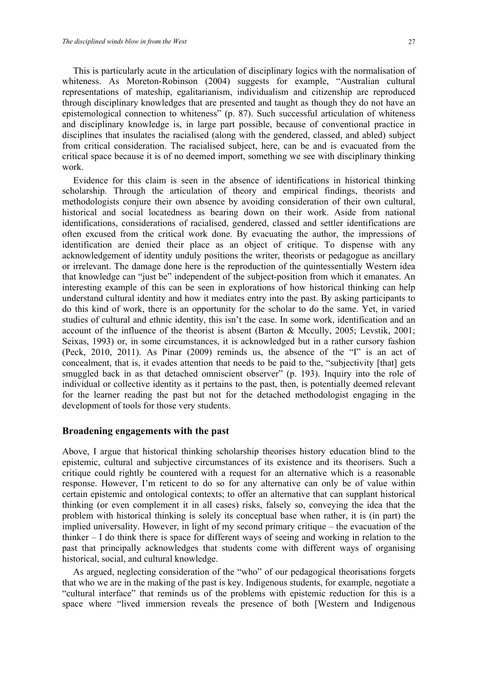This is particularly acute in the articulation of disciplinary logics with the normalisation of whiteness. As Moreton-Robinson (2004) suggests for example, "Australian cultural representations of mateship, egalitarianism, individualism and citizenship are reproduced through disciplinary knowledges that are presented and taught as though they do not have an epistemological connection to whiteness" (p. 87). Such successful articulation of whiteness and disciplinary knowledge is, in large part possible, because of conventional practice in disciplines that insulates the racialised (along with the gendered, classed, and abled) subject from critical consideration. The racialised subject, here, can be and is evacuated from the critical space because it is of no deemed import, something we see with disciplinary thinking work.

Evidence for this claim is seen in the absence of identifications in historical thinking scholarship. Through the articulation of theory and empirical findings, theorists and methodologists conjure their own absence by avoiding consideration of their own cultural, historical and social locatedness as bearing down on their work. Aside from national identifications, considerations of racialised, gendered, classed and settler identifications are often excused from the critical work done. By evacuating the author, the impressions of identification are denied their place as an object of critique. To dispense with any acknowledgement of identity unduly positions the writer, theorists or pedagogue as ancillary or irrelevant. The damage done here is the reproduction of the quintessentially Western idea that knowledge can "just be" independent of the subject-position from which it emanates. An interesting example of this can be seen in explorations of how historical thinking can help understand cultural identity and how it mediates entry into the past. By asking participants to do this kind of work, there is an opportunity for the scholar to do the same. Yet, in varied studies of cultural and ethnic identity, this isn't the case. In some work, identification and an account of the influence of the theorist is absent (Barton & Mccully, 2005; Levstik, 2001; Seixas, 1993) or, in some circumstances, it is acknowledged but in a rather cursory fashion (Peck, 2010, 2011). As Pinar (2009) reminds us, the absence of the "I" is an act of concealment, that is, it evades attention that needs to be paid to the, "subjectivity [that] gets smuggled back in as that detached omniscient observer" (p. 193). Inquiry into the role of individual or collective identity as it pertains to the past, then, is potentially deemed relevant for the learner reading the past but not for the detached methodologist engaging in the development of tools for those very students.

#### **Broadening engagements with the past**

Above, I argue that historical thinking scholarship theorises history education blind to the epistemic, cultural and subjective circumstances of its existence and its theorisers. Such a critique could rightly be countered with a request for an alternative which is a reasonable response. However, I'm reticent to do so for any alternative can only be of value within certain epistemic and ontological contexts; to offer an alternative that can supplant historical thinking (or even complement it in all cases) risks, falsely so, conveying the idea that the problem with historical thinking is solely its conceptual base when rather, it is (in part) the implied universality. However, in light of my second primary critique – the evacuation of the thinker – I do think there is space for different ways of seeing and working in relation to the past that principally acknowledges that students come with different ways of organising historical, social, and cultural knowledge.

As argued, neglecting consideration of the "who" of our pedagogical theorisations forgets that who we are in the making of the past is key. Indigenous students, for example, negotiate a "cultural interface" that reminds us of the problems with epistemic reduction for this is a space where "lived immersion reveals the presence of both [Western and Indigenous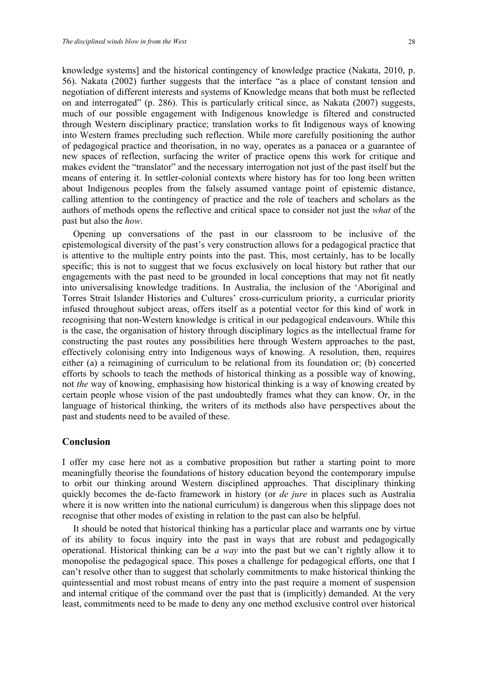knowledge systems] and the historical contingency of knowledge practice (Nakata, 2010, p. 56). Nakata (2002) further suggests that the interface "as a place of constant tension and negotiation of different interests and systems of Knowledge means that both must be reflected on and interrogated" (p. 286). This is particularly critical since, as Nakata (2007) suggests, much of our possible engagement with Indigenous knowledge is filtered and constructed through Western disciplinary practice; translation works to fit Indigenous ways of knowing into Western frames precluding such reflection. While more carefully positioning the author of pedagogical practice and theorisation, in no way, operates as a panacea or a guarantee of new spaces of reflection, surfacing the writer of practice opens this work for critique and makes evident the "translator" and the necessary interrogation not just of the past itself but the means of entering it. In settler-colonial contexts where history has for too long been written about Indigenous peoples from the falsely assumed vantage point of epistemic distance, calling attention to the contingency of practice and the role of teachers and scholars as the authors of methods opens the reflective and critical space to consider not just the *what* of the past but also the *how*.

Opening up conversations of the past in our classroom to be inclusive of the epistemological diversity of the past's very construction allows for a pedagogical practice that is attentive to the multiple entry points into the past. This, most certainly, has to be locally specific; this is not to suggest that we focus exclusively on local history but rather that our engagements with the past need to be grounded in local conceptions that may not fit neatly into universalising knowledge traditions. In Australia, the inclusion of the 'Aboriginal and Torres Strait Islander Histories and Cultures' cross-curriculum priority, a curricular priority infused throughout subject areas, offers itself as a potential vector for this kind of work in recognising that non-Western knowledge is critical in our pedagogical endeavours. While this is the case, the organisation of history through disciplinary logics as the intellectual frame for constructing the past routes any possibilities here through Western approaches to the past, effectively colonising entry into Indigenous ways of knowing. A resolution, then, requires either (a) a reimagining of curriculum to be relational from its foundation or; (b) concerted efforts by schools to teach the methods of historical thinking as a possible way of knowing, not *the* way of knowing, emphasising how historical thinking is a way of knowing created by certain people whose vision of the past undoubtedly frames what they can know. Or, in the language of historical thinking, the writers of its methods also have perspectives about the past and students need to be availed of these.

#### **Conclusion**

I offer my case here not as a combative proposition but rather a starting point to more meaningfully theorise the foundations of history education beyond the contemporary impulse to orbit our thinking around Western disciplined approaches. That disciplinary thinking quickly becomes the de-facto framework in history (or *de jure* in places such as Australia where it is now written into the national curriculum) is dangerous when this slippage does not recognise that other modes of existing in relation to the past can also be helpful.

It should be noted that historical thinking has a particular place and warrants one by virtue of its ability to focus inquiry into the past in ways that are robust and pedagogically operational. Historical thinking can be *a way* into the past but we can't rightly allow it to monopolise the pedagogical space. This poses a challenge for pedagogical efforts, one that I can't resolve other than to suggest that scholarly commitments to make historical thinking the quintessential and most robust means of entry into the past require a moment of suspension and internal critique of the command over the past that is (implicitly) demanded. At the very least, commitments need to be made to deny any one method exclusive control over historical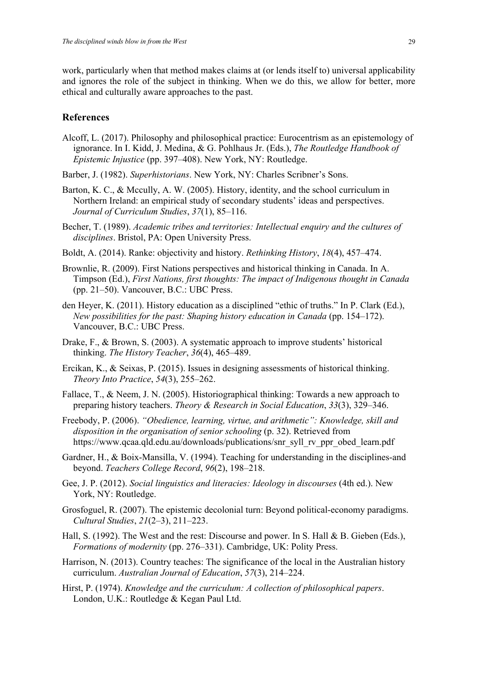work, particularly when that method makes claims at (or lends itself to) universal applicability and ignores the role of the subject in thinking. When we do this, we allow for better, more ethical and culturally aware approaches to the past.

#### **References**

- Alcoff, L. (2017). Philosophy and philosophical practice: Eurocentrism as an epistemology of ignorance. In I. Kidd, J. Medina, & G. Pohlhaus Jr. (Eds.), *The Routledge Handbook of Epistemic Injustice* (pp. 397–408). New York, NY: Routledge.
- Barber, J. (1982). *Superhistorians*. New York, NY: Charles Scribner's Sons.
- Barton, K. C., & Mccully, A. W. (2005). History, identity, and the school curriculum in Northern Ireland: an empirical study of secondary students' ideas and perspectives. *Journal of Curriculum Studies*, *37*(1), 85–116.
- Becher, T. (1989). *Academic tribes and territories: Intellectual enquiry and the cultures of disciplines*. Bristol, PA: Open University Press.
- Boldt, A. (2014). Ranke: objectivity and history. *Rethinking History*, *18*(4), 457–474.
- Brownlie, R. (2009). First Nations perspectives and historical thinking in Canada. In A. Timpson (Ed.), *First Nations, first thoughts: The impact of Indigenous thought in Canada* (pp. 21–50). Vancouver, B.C.: UBC Press.
- den Heyer, K. (2011). History education as a disciplined "ethic of truths." In P. Clark (Ed.), *New possibilities for the past: Shaping history education in Canada* (pp. 154–172). Vancouver, B.C.: UBC Press.
- Drake, F., & Brown, S. (2003). A systematic approach to improve students' historical thinking. *The History Teacher*, *36*(4), 465–489.
- Ercikan, K., & Seixas, P. (2015). Issues in designing assessments of historical thinking. *Theory Into Practice*, *54*(3), 255–262.
- Fallace, T., & Neem, J. N. (2005). Historiographical thinking: Towards a new approach to preparing history teachers. *Theory & Research in Social Education*, *33*(3), 329–346.
- Freebody, P. (2006). *"Obedience, learning, virtue, and arithmetic": Knowledge, skill and disposition in the organisation of senior schooling* (p. 32). Retrieved from https://www.qcaa.qld.edu.au/downloads/publications/snr\_syll\_rv\_ppr\_obed\_learn.pdf
- Gardner, H., & Boix-Mansilla, V. (1994). Teaching for understanding in the disciplines-and beyond. *Teachers College Record*, *96*(2), 198–218.
- Gee, J. P. (2012). *Social linguistics and literacies: Ideology in discourses* (4th ed.). New York, NY: Routledge.
- Grosfoguel, R. (2007). The epistemic decolonial turn: Beyond political-economy paradigms. *Cultural Studies*, *21*(2–3), 211–223.
- Hall, S. (1992). The West and the rest: Discourse and power. In S. Hall & B. Gieben (Eds.), *Formations of modernity* (pp. 276–331). Cambridge, UK: Polity Press.
- Harrison, N. (2013). Country teaches: The significance of the local in the Australian history curriculum. *Australian Journal of Education*, *57*(3), 214–224.
- Hirst, P. (1974). *Knowledge and the curriculum: A collection of philosophical papers*. London, U.K.: Routledge & Kegan Paul Ltd.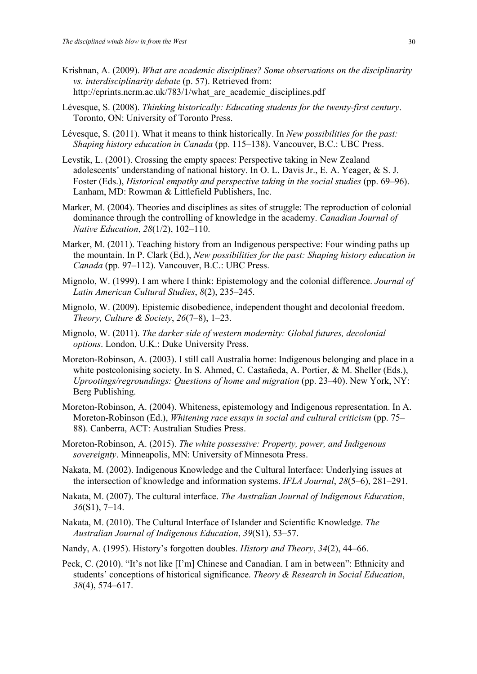- Krishnan, A. (2009). *What are academic disciplines? Some observations on the disciplinarity vs. interdisciplinarity debate* (p. 57). Retrieved from: http://eprints.ncrm.ac.uk/783/1/what are academic disciplines.pdf
- Lévesque, S. (2008). *Thinking historically: Educating students for the twenty-first century*. Toronto, ON: University of Toronto Press.
- Lévesque, S. (2011). What it means to think historically. In *New possibilities for the past: Shaping history education in Canada* (pp. 115–138). Vancouver, B.C.: UBC Press.
- Levstik, L. (2001). Crossing the empty spaces: Perspective taking in New Zealand adolescents' understanding of national history. In O. L. Davis Jr., E. A. Yeager, & S. J. Foster (Eds.), *Historical empathy and perspective taking in the social studies* (pp. 69–96). Lanham, MD: Rowman & Littlefield Publishers, Inc.
- Marker, M. (2004). Theories and disciplines as sites of struggle: The reproduction of colonial dominance through the controlling of knowledge in the academy. *Canadian Journal of Native Education*, *28*(1/2), 102–110.
- Marker, M. (2011). Teaching history from an Indigenous perspective: Four winding paths up the mountain. In P. Clark (Ed.), *New possibilities for the past: Shaping history education in Canada* (pp. 97–112). Vancouver, B.C.: UBC Press.
- Mignolo, W. (1999). I am where I think: Epistemology and the colonial difference. *Journal of Latin American Cultural Studies*, *8*(2), 235–245.
- Mignolo, W. (2009). Epistemic disobedience, independent thought and decolonial freedom. *Theory, Culture & Society*, *26*(7–8), 1–23.
- Mignolo, W. (2011). *The darker side of western modernity: Global futures, decolonial options*. London, U.K.: Duke University Press.
- Moreton-Robinson, A. (2003). I still call Australia home: Indigenous belonging and place in a white postcolonising society. In S. Ahmed, C. Castañeda, A. Portier, & M. Sheller (Eds.), *Uprootings/regroundings: Questions of home and migration* (pp. 23–40). New York, NY: Berg Publishing.
- Moreton-Robinson, A. (2004). Whiteness, epistemology and Indigenous representation. In A. Moreton-Robinson (Ed.), *Whitening race essays in social and cultural criticism* (pp. 75– 88). Canberra, ACT: Australian Studies Press.
- Moreton-Robinson, A. (2015). *The white possessive: Property, power, and Indigenous sovereignty*. Minneapolis, MN: University of Minnesota Press.
- Nakata, M. (2002). Indigenous Knowledge and the Cultural Interface: Underlying issues at the intersection of knowledge and information systems. *IFLA Journal*, *28*(5–6), 281–291.
- Nakata, M. (2007). The cultural interface. *The Australian Journal of Indigenous Education*, *36*(S1), 7–14.
- Nakata, M. (2010). The Cultural Interface of Islander and Scientific Knowledge. *The Australian Journal of Indigenous Education*, *39*(S1), 53–57.
- Nandy, A. (1995). History's forgotten doubles. *History and Theory*, *34*(2), 44–66.
- Peck, C. (2010). "It's not like [I'm] Chinese and Canadian. I am in between": Ethnicity and students' conceptions of historical significance. *Theory & Research in Social Education*, *38*(4), 574–617.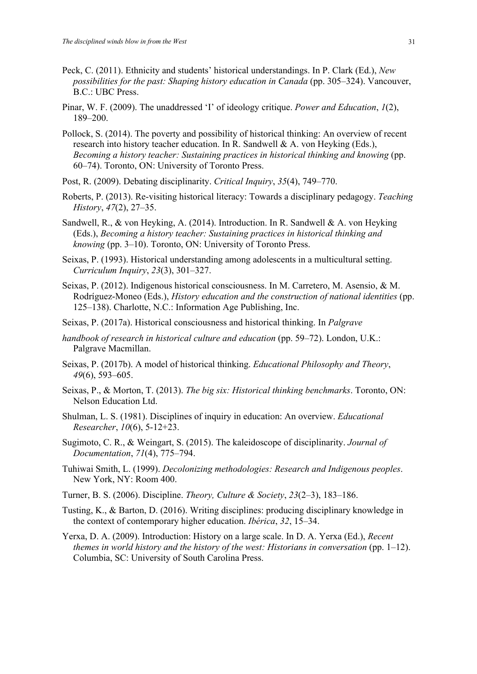- Peck, C. (2011). Ethnicity and students' historical understandings. In P. Clark (Ed.), *New possibilities for the past: Shaping history education in Canada* (pp. 305–324). Vancouver, B.C.: UBC Press.
- Pinar, W. F. (2009). The unaddressed 'I' of ideology critique. *Power and Education*, *1*(2), 189–200.
- Pollock, S. (2014). The poverty and possibility of historical thinking: An overview of recent research into history teacher education. In R. Sandwell & A. von Heyking (Eds.), *Becoming a history teacher: Sustaining practices in historical thinking and knowing* (pp. 60–74). Toronto, ON: University of Toronto Press.
- Post, R. (2009). Debating disciplinarity. *Critical Inquiry*, *35*(4), 749–770.
- Roberts, P. (2013). Re-visiting historical literacy: Towards a disciplinary pedagogy. *Teaching History*, *47*(2), 27–35.
- Sandwell, R., & von Heyking, A. (2014). Introduction. In R. Sandwell & A. von Heyking (Eds.), *Becoming a history teacher: Sustaining practices in historical thinking and knowing* (pp. 3–10). Toronto, ON: University of Toronto Press.
- Seixas, P. (1993). Historical understanding among adolescents in a multicultural setting. *Curriculum Inquiry*, *23*(3), 301–327.
- Seixas, P. (2012). Indigenous historical consciousness. In M. Carretero, M. Asensio, & M. Rodríguez-Moneo (Eds.), *History education and the construction of national identities* (pp. 125–138). Charlotte, N.C.: Information Age Publishing, Inc.
- Seixas, P. (2017a). Historical consciousness and historical thinking. In *Palgrave*
- *handbook of research in historical culture and education* (pp. 59–72). London, U.K.: Palgrave Macmillan.
- Seixas, P. (2017b). A model of historical thinking. *Educational Philosophy and Theory*, *49*(6), 593–605.
- Seixas, P., & Morton, T. (2013). *The big six: Historical thinking benchmarks*. Toronto, ON: Nelson Education Ltd.
- Shulman, L. S. (1981). Disciplines of inquiry in education: An overview. *Educational Researcher*, *10*(6), 5-12+23.
- Sugimoto, C. R., & Weingart, S. (2015). The kaleidoscope of disciplinarity. *Journal of Documentation*, *71*(4), 775–794.
- Tuhiwai Smith, L. (1999). *Decolonizing methodologies: Research and Indigenous peoples*. New York, NY: Room 400.
- Turner, B. S. (2006). Discipline. *Theory, Culture & Society*, *23*(2–3), 183–186.
- Tusting, K., & Barton, D. (2016). Writing disciplines: producing disciplinary knowledge in the context of contemporary higher education. *Ibérica*, *32*, 15–34.
- Yerxa, D. A. (2009). Introduction: History on a large scale. In D. A. Yerxa (Ed.), *Recent themes in world history and the history of the west: Historians in conversation* (pp. 1–12). Columbia, SC: University of South Carolina Press.